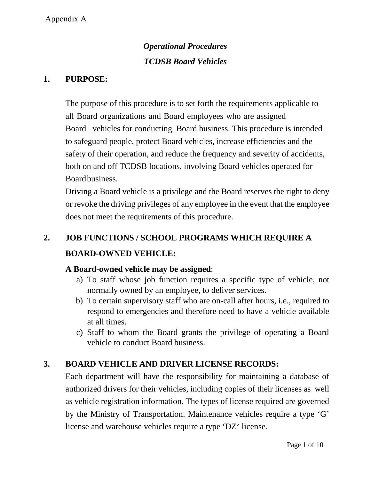# *Operational Procedures TCDSB Board Vehicles*

### **1. PURPOSE:**

The purpose of this procedure is to set forth the requirements applicable to all Board organizations and Board employees who are assigned Board vehicles for conducting Board business. This procedure is intended to safeguard people, protect Board vehicles, increase efficiencies and the safety of their operation, and reduce the frequency and severity of accidents, both on and off TCDSB locations, involving Board vehicles operated for Boardbusiness.

Driving a Board vehicle is a privilege and the Board reserves the right to deny or revoke the driving privileges of any employee in the event that the employee does not meet the requirements of this procedure.

# **2. JOB FUNCTIONS / SCHOOL PROGRAMS WHICH REQUIRE A BOARD-OWNED VEHICLE:**

#### **A Board-owned vehicle may be assigned**:

- a) To staff whose job function requires a specific type of vehicle, not normally owned by an employee, to deliver services.
- b) To certain supervisory staff who are on-call after hours, i.e., required to respond to emergencies and therefore need to have a vehicle available at all times.
- c) Staff to whom the Board grants the privilege of operating a Board vehicle to conduct Board business.

## **3. BOARD VEHICLE AND DRIVER LICENSE RECORDS:**

Each department will have the responsibility for maintaining a database of authorized drivers for their vehicles, including copies of their licenses as well as vehicle registration information. The types of license required are governed by the Ministry of Transportation. Maintenance vehicles require a type 'G' license and warehouse vehicles require a type 'DZ' license.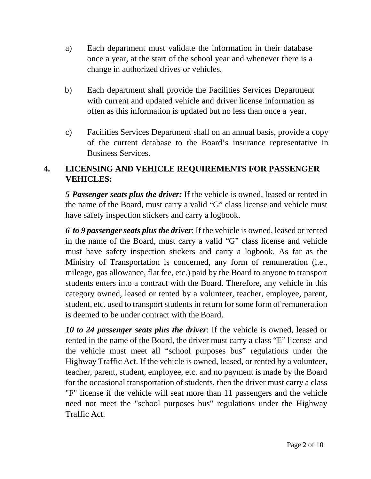- a) Each department must validate the information in their database once a year, at the start of the school year and whenever there is a change in authorized drives or vehicles.
- b) Each department shall provide the Facilities Services Department with current and updated vehicle and driver license information as often as this information is updated but no less than once a year.
- c) Facilities Services Department shall on an annual basis, provide a copy of the current database to the Board's insurance representative in Business Services.

# **4. LICENSING AND VEHICLE REQUIREMENTS FOR PASSENGER VEHICLES:**

*5 Passenger seats plus the driver:* If the vehicle is owned, leased or rented in the name of the Board, must carry a valid "G" class license and vehicle must have safety inspection stickers and carry a logbook.

*6 to 9 passenger seats plus the driver*: If the vehicle is owned, leased or rented in the name of the Board, must carry a valid "G" class license and vehicle must have safety inspection stickers and carry a logbook. As far as the Ministry of Transportation is concerned, any form of remuneration (i.e., mileage, gas allowance, flat fee, etc.) paid by the Board to anyone to transport students enters into a contract with the Board. Therefore, any vehicle in this category owned, leased or rented by a volunteer, teacher, employee, parent, student, etc. used to transport students in return for some form of remuneration is deemed to be under contract with the Board.

*10 to 24 passenger seats plus the driver*: If the vehicle is owned, leased or rented in the name of the Board, the driver must carry a class "E" license and the vehicle must meet all "school purposes bus" regulations under the Highway Traffic Act. If the vehicle is owned, leased, or rented by a volunteer, teacher, parent, student, employee, etc. and no payment is made by the Board for the occasional transportation of students, then the driver must carry a class "F" license if the vehicle will seat more than 11 passengers and the vehicle need not meet the "school purposes bus" regulations under the Highway Traffic Act.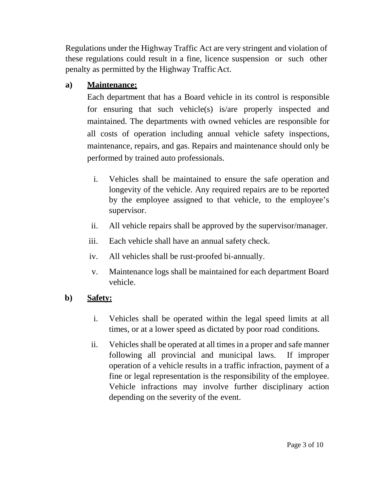Regulations under the Highway Traffic Act are very stringent and violation of these regulations could result in a fine, licence suspension or such other penalty as permitted by the Highway TrafficAct.

## **a) Maintenance:**

Each department that has a Board vehicle in its control is responsible for ensuring that such vehicle(s) is/are properly inspected and maintained. The departments with owned vehicles are responsible for all costs of operation including annual vehicle safety inspections, maintenance, repairs, and gas. Repairs and maintenance should only be performed by trained auto professionals.

- i. Vehicles shall be maintained to ensure the safe operation and longevity of the vehicle. Any required repairs are to be reported by the employee assigned to that vehicle, to the employee's supervisor.
- ii. All vehicle repairs shall be approved by the supervisor/manager.
- iii. Each vehicle shall have an annual safety check.
- iv. All vehicles shall be rust-proofed bi-annually.
- v. Maintenance logs shall be maintained for each department Board vehicle.

## **b) Safety:**

- i. Vehicles shall be operated within the legal speed limits at all times, or at a lower speed as dictated by poor road conditions.
- ii. Vehicles shall be operated at all times in a proper and safe manner following all provincial and municipal laws. If improper operation of a vehicle results in a traffic infraction, payment of a fine or legal representation is the responsibility of the employee. Vehicle infractions may involve further disciplinary action depending on the severity of the event.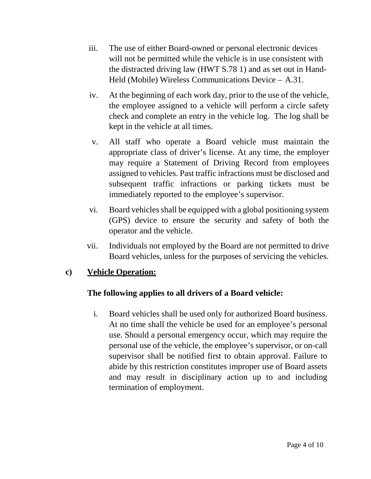- iii. The use of either Board-owned or personal electronic devices will not be permitted while the vehicle is in use consistent with the distracted driving law (HWT S.78 1) and as set out in Hand-Held (Mobile) Wireless Communications Device – A.31.
- iv. At the beginning of each work day, prior to the use of the vehicle, the employee assigned to a vehicle will perform a circle safety check and complete an entry in the vehicle log. The log shall be kept in the vehicle at all times.
- v. All staff who operate a Board vehicle must maintain the appropriate class of driver's license. At any time, the employer may require a Statement of Driving Record from employees assigned to vehicles. Past traffic infractions must be disclosed and subsequent traffic infractions or parking tickets must be immediately reported to the employee's supervisor.
- vi. Board vehicles shall be equipped with a global positioning system (GPS) device to ensure the security and safety of both the operator and the vehicle.
- vii. Individuals not employed by the Board are not permitted to drive Board vehicles, unless for the purposes of servicing the vehicles.

### **c) Vehicle Operation:**

## **The following applies to all drivers of a Board vehicle:**

i. Board vehicles shall be used only for authorized Board business. At no time shall the vehicle be used for an employee's personal use. Should a personal emergency occur, which may require the personal use of the vehicle, the employee's supervisor, or on-call supervisor shall be notified first to obtain approval. Failure to abide by this restriction constitutes improper use of Board assets and may result in disciplinary action up to and including termination of employment.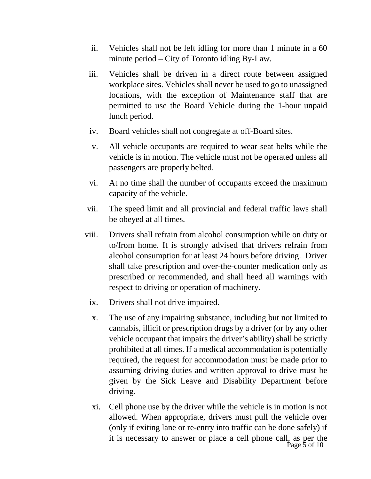- ii. Vehicles shall not be left idling for more than 1 minute in a 60 minute period – City of Toronto idling By-Law.
- iii. Vehicles shall be driven in a direct route between assigned workplace sites. Vehicles shall never be used to go to unassigned locations, with the exception of Maintenance staff that are permitted to use the Board Vehicle during the 1-hour unpaid lunch period.
- iv. Board vehicles shall not congregate at off-Board sites.
- v. All vehicle occupants are required to wear seat belts while the vehicle is in motion. The vehicle must not be operated unless all passengers are properly belted.
- vi. At no time shall the number of occupants exceed the maximum capacity of the vehicle.
- vii. The speed limit and all provincial and federal traffic laws shall be obeyed at all times.
- viii. Drivers shall refrain from alcohol consumption while on duty or to/from home. It is strongly advised that drivers refrain from alcohol consumption for at least 24 hours before driving. Driver shall take prescription and over-the-counter medication only as prescribed or recommended, and shall heed all warnings with respect to driving or operation of machinery.
	- ix. Drivers shall not drive impaired.
	- x. The use of any impairing substance, including but not limited to cannabis, illicit or prescription drugs by a driver (or by any other vehicle occupant that impairs the driver's ability) shall be strictly prohibited at all times. If a medical accommodation is potentially required, the request for accommodation must be made prior to assuming driving duties and written approval to drive must be given by the Sick Leave and Disability Department before driving.
	- Page 5 of 10 xi. Cell phone use by the driver while the vehicle is in motion is not allowed. When appropriate, drivers must pull the vehicle over (only if exiting lane or re-entry into traffic can be done safely) if it is necessary to answer or place a cell phone call, as per the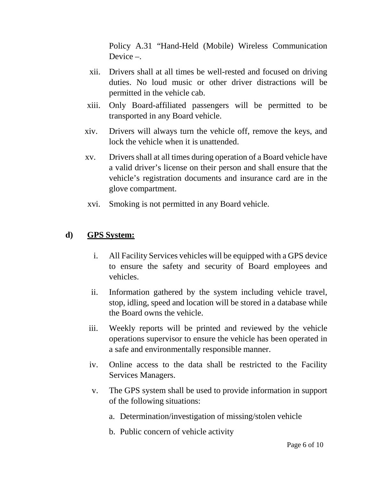Policy A.31 "Hand-Held (Mobile) Wireless Communication Device –.

- xii. Drivers shall at all times be well-rested and focused on driving duties. No loud music or other driver distractions will be permitted in the vehicle cab.
- xiii. Only Board-affiliated passengers will be permitted to be transported in any Board vehicle.
- xiv. Drivers will always turn the vehicle off, remove the keys, and lock the vehicle when it is unattended.
- xv. Drivers shall at all times during operation of a Board vehicle have a valid driver's license on their person and shall ensure that the vehicle's registration documents and insurance card are in the glove compartment.
- xvi. Smoking is not permitted in any Board vehicle.

#### **d) GPS System:**

- i. All Facility Services vehicles will be equipped with a GPS device to ensure the safety and security of Board employees and vehicles.
- ii. Information gathered by the system including vehicle travel, stop, idling, speed and location will be stored in a database while the Board owns the vehicle.
- iii. Weekly reports will be printed and reviewed by the vehicle operations supervisor to ensure the vehicle has been operated in a safe and environmentally responsible manner.
- iv. Online access to the data shall be restricted to the Facility Services Managers.
- v. The GPS system shall be used to provide information in support of the following situations:
	- a. Determination/investigation of missing/stolen vehicle
	- b. Public concern of vehicle activity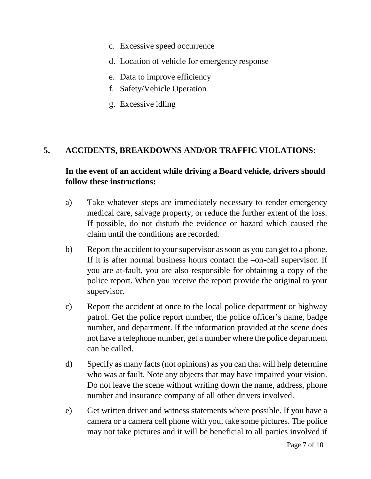- c. Excessive speed occurrence
- d. Location of vehicle for emergency response
- e. Data to improve efficiency
- f. Safety/Vehicle Operation
- g. Excessive idling

#### **5. ACCIDENTS, BREAKDOWNS AND/OR TRAFFIC VIOLATIONS:**

## **In the event of an accident while driving a Board vehicle, drivers should follow these instructions:**

- a) Take whatever steps are immediately necessary to render emergency medical care, salvage property, or reduce the further extent of the loss. If possible, do not disturb the evidence or hazard which caused the claim until the conditions are recorded.
- b) Report the accident to your supervisor as soon as you can get to a phone. If it is after normal business hours contact the –on-call supervisor. If you are at-fault, you are also responsible for obtaining a copy of the police report. When you receive the report provide the original to your supervisor.
- c) Report the accident at once to the local police department or highway patrol. Get the police report number, the police officer's name, badge number, and department. If the information provided at the scene does not have a telephone number, get a number where the police department can be called.
- d) Specify as many facts (not opinions) as you can that will help determine who was at fault. Note any objects that may have impaired your vision. Do not leave the scene without writing down the name, address, phone number and insurance company of all other drivers involved.
- e) Get written driver and witness statements where possible. If you have a camera or a camera cell phone with you, take some pictures. The police may not take pictures and it will be beneficial to all parties involved if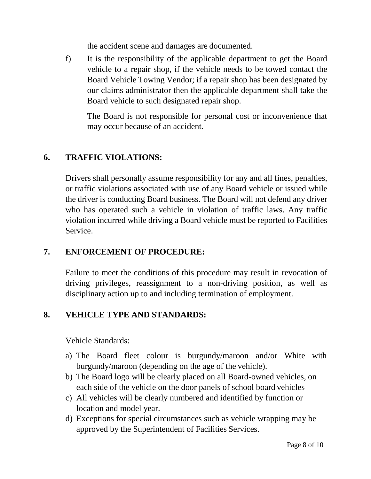the accident scene and damages are documented.

f) It is the responsibility of the applicable department to get the Board vehicle to a repair shop, if the vehicle needs to be towed contact the Board Vehicle Towing Vendor; if a repair shop has been designated by our claims administrator then the applicable department shall take the Board vehicle to such designated repair shop.

The Board is not responsible for personal cost or inconvenience that may occur because of an accident.

### **6. TRAFFIC VIOLATIONS:**

Drivers shall personally assume responsibility for any and all fines, penalties, or traffic violations associated with use of any Board vehicle or issued while the driver is conducting Board business. The Board will not defend any driver who has operated such a vehicle in violation of traffic laws. Any traffic violation incurred while driving a Board vehicle must be reported to Facilities Service.

### **7. ENFORCEMENT OF PROCEDURE:**

Failure to meet the conditions of this procedure may result in revocation of driving privileges, reassignment to a non-driving position, as well as disciplinary action up to and including termination of employment.

## **8. VEHICLE TYPE AND STANDARDS:**

Vehicle Standards:

- a) The Board fleet colour is burgundy/maroon and/or White with burgundy/maroon (depending on the age of the vehicle).
- b) The Board logo will be clearly placed on all Board-owned vehicles, on each side of the vehicle on the door panels of school board vehicles
- c) All vehicles will be clearly numbered and identified by function or location and model year.
- d) Exceptions for special circumstances such as vehicle wrapping may be approved by the Superintendent of Facilities Services.